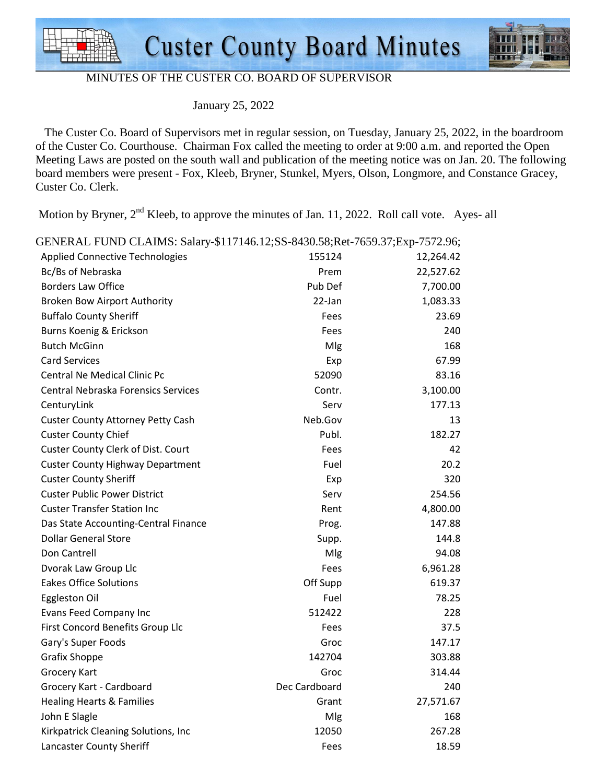



### MINUTES OF THE CUSTER CO. BOARD OF SUPERVISOR

January 25, 2022

 The Custer Co. Board of Supervisors met in regular session, on Tuesday, January 25, 2022, in the boardroom of the Custer Co. Courthouse. Chairman Fox called the meeting to order at 9:00 a.m. and reported the Open Meeting Laws are posted on the south wall and publication of the meeting notice was on Jan. 20. The following board members were present - Fox, Kleeb, Bryner, Stunkel, Myers, Olson, Longmore, and Constance Gracey, Custer Co. Clerk.

Motion by Bryner, 2<sup>nd</sup> Kleeb, to approve the minutes of Jan. 11, 2022. Roll call vote. Ayes- all

| GENERAL FUND CLAIMS: Salary-\$117146.12;SS-8430.58;Ret-7659.37;Exp-7572.96; |               |           |  |  |
|-----------------------------------------------------------------------------|---------------|-----------|--|--|
| <b>Applied Connective Technologies</b>                                      | 155124        | 12,264.42 |  |  |
| Bc/Bs of Nebraska                                                           | Prem          | 22,527.62 |  |  |
| <b>Borders Law Office</b>                                                   | Pub Def       | 7,700.00  |  |  |
| <b>Broken Bow Airport Authority</b>                                         | 22-Jan        | 1,083.33  |  |  |
| <b>Buffalo County Sheriff</b>                                               | Fees          | 23.69     |  |  |
| Burns Koenig & Erickson                                                     | Fees          | 240       |  |  |
| <b>Butch McGinn</b>                                                         | Mlg           | 168       |  |  |
| <b>Card Services</b>                                                        | Exp           | 67.99     |  |  |
| Central Ne Medical Clinic Pc                                                | 52090         | 83.16     |  |  |
| <b>Central Nebraska Forensics Services</b>                                  | Contr.        | 3,100.00  |  |  |
| CenturyLink                                                                 | Serv          | 177.13    |  |  |
| <b>Custer County Attorney Petty Cash</b>                                    | Neb.Gov       | 13        |  |  |
| <b>Custer County Chief</b>                                                  | Publ.         | 182.27    |  |  |
| Custer County Clerk of Dist. Court                                          | Fees          | 42        |  |  |
| <b>Custer County Highway Department</b>                                     | Fuel          | 20.2      |  |  |
| <b>Custer County Sheriff</b>                                                | Exp           | 320       |  |  |
| <b>Custer Public Power District</b>                                         | Serv          | 254.56    |  |  |
| <b>Custer Transfer Station Inc</b>                                          | Rent          | 4,800.00  |  |  |
| Das State Accounting-Central Finance                                        | Prog.         | 147.88    |  |  |
| <b>Dollar General Store</b>                                                 | Supp.         | 144.8     |  |  |
| Don Cantrell                                                                | Mlg           | 94.08     |  |  |
| Dvorak Law Group Llc                                                        | Fees          | 6,961.28  |  |  |
| <b>Eakes Office Solutions</b>                                               | Off Supp      | 619.37    |  |  |
| <b>Eggleston Oil</b>                                                        | Fuel          | 78.25     |  |  |
| Evans Feed Company Inc                                                      | 512422        | 228       |  |  |
| First Concord Benefits Group Llc                                            | Fees          | 37.5      |  |  |
| Gary's Super Foods                                                          | Groc          | 147.17    |  |  |
| <b>Grafix Shoppe</b>                                                        | 142704        | 303.88    |  |  |
| <b>Grocery Kart</b>                                                         | Groc          | 314.44    |  |  |
| Grocery Kart - Cardboard                                                    | Dec Cardboard | 240       |  |  |
| <b>Healing Hearts &amp; Families</b>                                        | Grant         | 27,571.67 |  |  |
| John E Slagle                                                               | Mlg           | 168       |  |  |
| Kirkpatrick Cleaning Solutions, Inc                                         | 12050         | 267.28    |  |  |
| Lancaster County Sheriff                                                    | Fees          | 18.59     |  |  |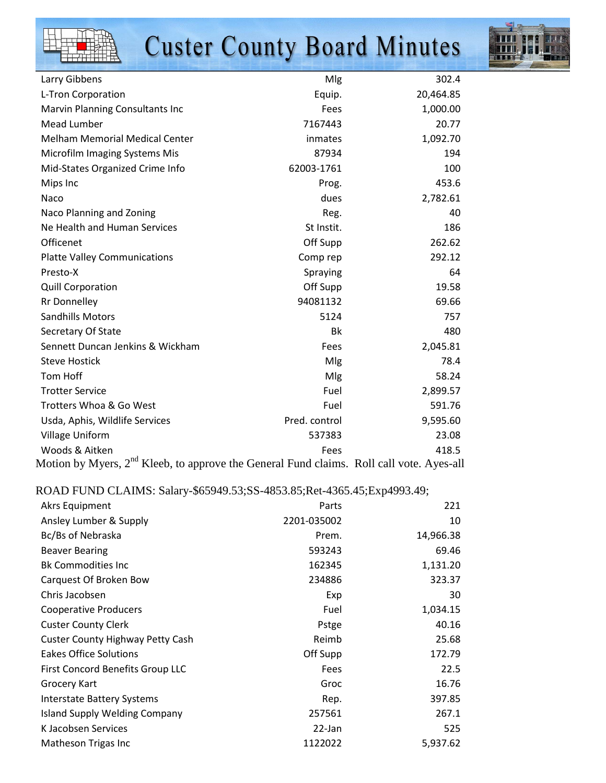|--|

## **Custer County Board Minutes**



| Mlg           | 302.4     |
|---------------|-----------|
| Equip.        | 20,464.85 |
| Fees          | 1,000.00  |
| 7167443       | 20.77     |
| inmates       | 1,092.70  |
| 87934         | 194       |
| 62003-1761    | 100       |
| Prog.         | 453.6     |
| dues          | 2,782.61  |
| Reg.          | 40        |
| St Instit.    | 186       |
| Off Supp      | 262.62    |
| Comp rep      | 292.12    |
| Spraying      | 64        |
| Off Supp      | 19.58     |
| 94081132      | 69.66     |
| 5124          | 757       |
| Bk            | 480       |
| Fees          | 2,045.81  |
| Mlg           | 78.4      |
| Mlg           | 58.24     |
| Fuel          | 2,899.57  |
| Fuel          | 591.76    |
| Pred. control | 9,595.60  |
| 537383        | 23.08     |
| Fees          | 418.5     |
|               |           |

Motion by Myers, 2<sup>nd</sup> Kleeb, to approve the General Fund claims. Roll call vote. Ayes-all

## ROAD FUND CLAIMS: Salary-\$65949.53;SS-4853.85;Ret-4365.45;Exp4993.49;

| Akrs Equipment                          | Parts       | 221       |
|-----------------------------------------|-------------|-----------|
| Ansley Lumber & Supply                  | 2201-035002 | 10        |
| Bc/Bs of Nebraska                       | Prem.       | 14,966.38 |
| <b>Beaver Bearing</b>                   | 593243      | 69.46     |
| <b>Bk Commodities Inc</b>               | 162345      | 1,131.20  |
| Carquest Of Broken Bow                  | 234886      | 323.37    |
| Chris Jacobsen                          | Exp         | 30        |
| <b>Cooperative Producers</b>            | Fuel        | 1,034.15  |
| <b>Custer County Clerk</b>              | Pstge       | 40.16     |
| <b>Custer County Highway Petty Cash</b> | Reimb       | 25.68     |
| <b>Eakes Office Solutions</b>           | Off Supp    | 172.79    |
| First Concord Benefits Group LLC        | Fees        | 22.5      |
| <b>Grocery Kart</b>                     | Groc        | 16.76     |
| <b>Interstate Battery Systems</b>       | Rep.        | 397.85    |
| <b>Island Supply Welding Company</b>    | 257561      | 267.1     |
| K Jacobsen Services                     | 22-Jan      | 525       |
| Matheson Trigas Inc                     | 1122022     | 5,937.62  |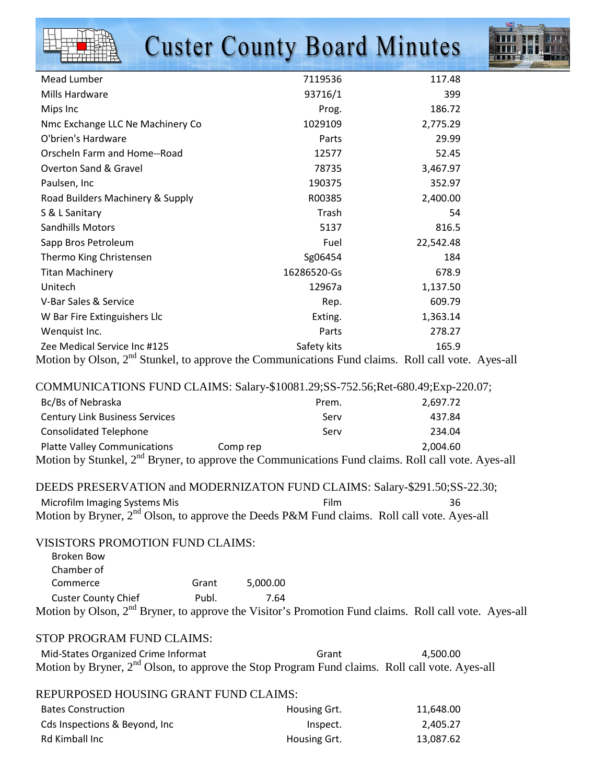# **Custer County Board Minutes**



| Mead Lumber                                                               | 7119536                                  | 117.48    |
|---------------------------------------------------------------------------|------------------------------------------|-----------|
| Mills Hardware                                                            | 93716/1                                  | 399       |
| Mips Inc                                                                  | Prog.                                    | 186.72    |
| Nmc Exchange LLC Ne Machinery Co                                          | 1029109                                  | 2,775.29  |
| O'brien's Hardware                                                        | Parts                                    | 29.99     |
| Orscheln Farm and Home--Road                                              | 12577                                    | 52.45     |
| <b>Overton Sand &amp; Gravel</b>                                          | 78735                                    | 3,467.97  |
| Paulsen, Inc                                                              | 190375                                   | 352.97    |
| Road Builders Machinery & Supply                                          | R00385                                   | 2,400.00  |
| S & L Sanitary                                                            | Trash                                    | 54        |
| Sandhills Motors                                                          | 5137                                     | 816.5     |
| Sapp Bros Petroleum                                                       | Fuel                                     | 22,542.48 |
| Thermo King Christensen                                                   | Sg06454                                  | 184       |
| <b>Titan Machinery</b>                                                    | 16286520-Gs                              | 678.9     |
| Unitech                                                                   | 12967a                                   | 1,137.50  |
| V-Bar Sales & Service                                                     | Rep.                                     | 609.79    |
| W Bar Fire Extinguishers Llc                                              | Exting.                                  | 1,363.14  |
| Wenquist Inc.                                                             | Parts                                    | 278.27    |
| Zee Medical Service Inc #125                                              | Safety kits                              | 165.9     |
| $M_{\odot}$ is the Olson $2^{\text{nd}}$ Churled to suppose the Community | isatiana Eun dialainea - Diallisallisate |           |

Motion by Olson, 2<sup>nd</sup> Stunkel, to approve the Communications Fund claims. Roll call vote. Ayes-all

COMMUNICATIONS FUND CLAIMS: Salary-\$10081.29;SS-752.56;Ret-680.49;Exp-220.07;

| Bc/Bs of Nebraska                                                                                              | Prem.    | 2,697.72 |
|----------------------------------------------------------------------------------------------------------------|----------|----------|
| <b>Century Link Business Services</b>                                                                          | Serv     | 437.84   |
| <b>Consolidated Telephone</b>                                                                                  | Serv     | 234.04   |
| <b>Platte Valley Communications</b>                                                                            | Comp rep | 2.004.60 |
| Motion by Stunkel, 2 <sup>nd</sup> Bryner, to approve the Communications Fund claims. Roll call vote. Ayes-all |          |          |

| DEEDS PRESERVATION and MODERNIZATON FUND CLAIMS: Salary-\$291.50; SS-22.30;                             |      |     |
|---------------------------------------------------------------------------------------------------------|------|-----|
| Microfilm Imaging Systems Mis                                                                           | Film | 36. |
| Motion by Bryner, 2 <sup>nd</sup> Olson, to approve the Deeds P&M Fund claims. Roll call vote. Ayes-all |      |     |

#### VISISTORS PROMOTION FUND CLAIMS:

| Broken Bow                                                                                                        |       |          |  |  |
|-------------------------------------------------------------------------------------------------------------------|-------|----------|--|--|
| Chamber of                                                                                                        |       |          |  |  |
| Commerce                                                                                                          | Grant | 5.000.00 |  |  |
| <b>Custer County Chief</b>                                                                                        | Publ. | 7.64     |  |  |
| Motion by Olson, 2 <sup>nd</sup> Bryner, to approve the Visitor's Promotion Fund claims. Roll call vote. Ayes-all |       |          |  |  |

## STOP PROGRAM FUND CLAIMS:

| Mid-States Organized Crime Informat | Grant                                                                                                      | 4.500.00 |
|-------------------------------------|------------------------------------------------------------------------------------------------------------|----------|
|                                     | Motion by Bryner, 2 <sup>nd</sup> Olson, to approve the Stop Program Fund claims. Roll call vote. Ayes-all |          |

| REPURPOSED HOUSING GRANT FUND CLAIMS: |              |           |
|---------------------------------------|--------------|-----------|
| <b>Bates Construction</b>             | Housing Grt. | 11.648.00 |
| Cds Inspections & Beyond, Inc.        | Inspect.     | 2.405.27  |
| Rd Kimball Inc                        | Housing Grt. | 13,087.62 |